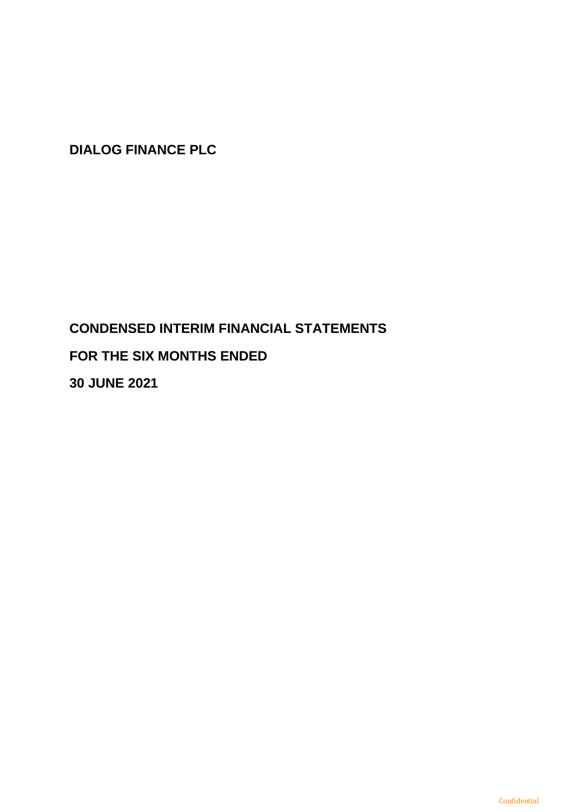# **CONDENSED INTERIM FINANCIAL STATEMENTS FOR THE SIX MONTHS ENDED**

**30 JUNE 2021**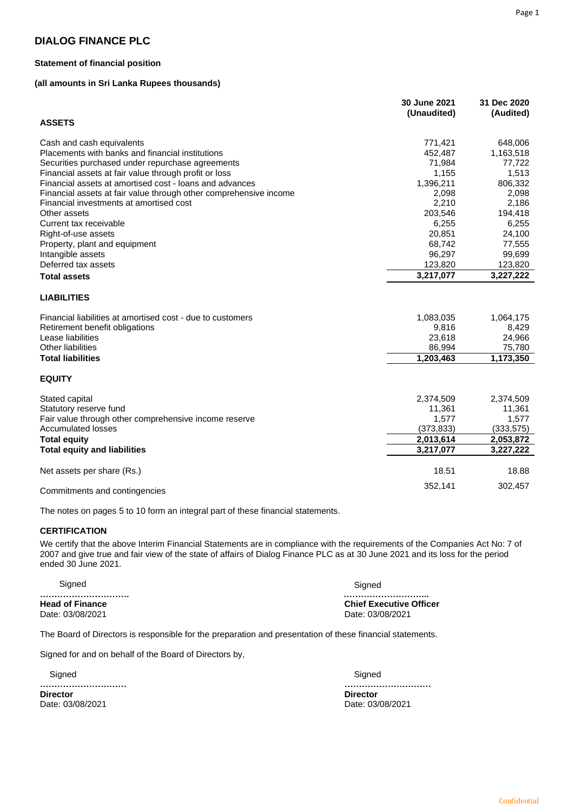#### **Statement of financial position**

#### **(all amounts in Sri Lanka Rupees thousands)**

|                                                                   | 30 June 2021<br>(Unaudited) | 31 Dec 2020<br>(Audited) |
|-------------------------------------------------------------------|-----------------------------|--------------------------|
| <b>ASSETS</b>                                                     |                             |                          |
| Cash and cash equivalents                                         | 771,421                     | 648,006                  |
| Placements with banks and financial institutions                  | 452,487                     | 1,163,518                |
| Securities purchased under repurchase agreements                  | 71,984                      | 77,722                   |
| Financial assets at fair value through profit or loss             | 1,155                       | 1,513                    |
| Financial assets at amortised cost - loans and advances           | 1,396,211                   | 806,332                  |
| Financial assets at fair value through other comprehensive income | 2,098                       | 2,098                    |
| Financial investments at amortised cost                           | 2,210                       | 2,186                    |
| Other assets                                                      | 203,546                     | 194,418                  |
| Current tax receivable                                            | 6,255                       | 6,255                    |
| Right-of-use assets                                               | 20,851                      | 24,100                   |
| Property, plant and equipment                                     | 68,742                      | 77,555                   |
| Intangible assets                                                 | 96,297                      | 99,699                   |
| Deferred tax assets                                               | 123,820                     | 123,820                  |
| <b>Total assets</b>                                               | 3,217,077                   | 3,227,222                |
| <b>LIABILITIES</b>                                                |                             |                          |
| Financial liabilities at amortised cost - due to customers        | 1,083,035                   | 1,064,175                |
| Retirement benefit obligations                                    | 9,816                       | 8,429                    |
| Lease liabilities                                                 | 23,618                      | 24,966                   |
| <b>Other liabilities</b>                                          | 86,994                      | 75,780                   |
| <b>Total liabilities</b>                                          | 1,203,463                   | 1,173,350                |
| <b>EQUITY</b>                                                     |                             |                          |
| Stated capital                                                    | 2,374,509                   | 2,374,509                |
| Statutory reserve fund                                            | 11,361                      | 11,361                   |
| Fair value through other comprehensive income reserve             | 1,577                       | 1,577                    |
| <b>Accumulated losses</b>                                         | (373, 833)                  | (333, 575)               |
| <b>Total equity</b>                                               | 2,013,614                   | 2,053,872                |
| <b>Total equity and liabilities</b>                               | 3,217,077                   | 3,227,222                |
| Net assets per share (Rs.)                                        | 18.51                       | 18.88                    |
|                                                                   |                             |                          |
| Commitments and contingencies                                     | 352,141                     | 302,457                  |

The notes on pages 5 to 10 form an integral part of these financial statements.

#### **CERTIFICATION**

We certify that the above Interim Financial Statements are in compliance with the requirements of the Companies Act No: 7 of 2007 and give true and fair view of the state of affairs of Dialog Finance PLC as at 30 June 2021 and its loss for the period ended 30 June 2021.

| Sianed                 | Sianed                         |
|------------------------|--------------------------------|
|                        |                                |
| <b>Head of Finance</b> | <b>Chief Executive Officer</b> |
| Date: 03/08/2021       | Date: 03/08/2021               |

The Board of Directors is responsible for the preparation and presentation of these financial statements.

Signed for and on behalf of the Board of Directors by,

 Signed **………………………… Director Director**  Date: 03/08/2021 Date: 03/08/2021

 Signed **…………………………**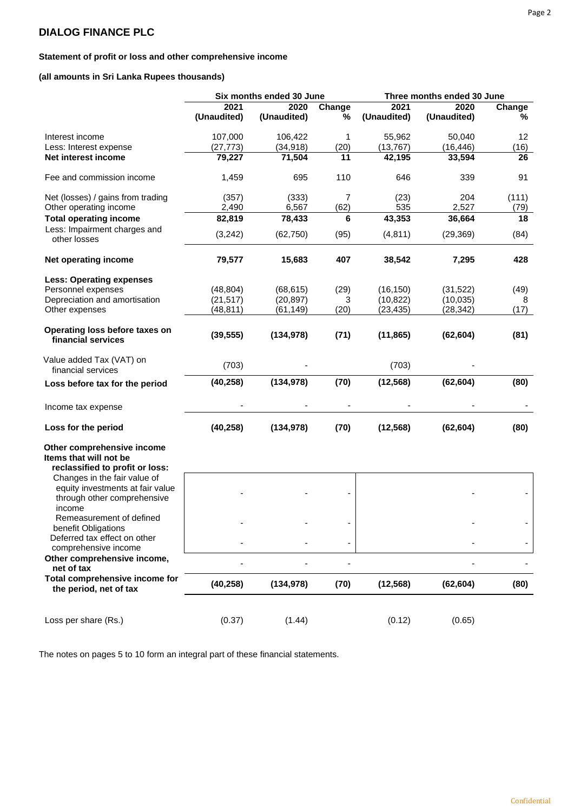# **Statement of profit or loss and other comprehensive income**

**(all amounts in Sri Lanka Rupees thousands)**

|                                                                                                           |             | Six months ended 30 June |        | Three months ended 30 June |             |        |  |
|-----------------------------------------------------------------------------------------------------------|-------------|--------------------------|--------|----------------------------|-------------|--------|--|
|                                                                                                           | 2021        | 2020                     | Change | 2021                       | 2020        | Change |  |
|                                                                                                           | (Unaudited) | (Unaudited)              | %      | (Unaudited)                | (Unaudited) | ℅      |  |
| Interest income                                                                                           | 107,000     | 106,422                  | 1      | 55,962                     | 50,040      | 12     |  |
| Less: Interest expense                                                                                    | (27, 773)   | (34, 918)                | (20)   | (13, 767)                  | (16, 446)   | (16)   |  |
| Net interest income                                                                                       | 79,227      | 71,504                   | 11     | 42,195                     | 33,594      | 26     |  |
| Fee and commission income                                                                                 | 1,459       | 695                      | 110    | 646                        | 339         | 91     |  |
| Net (losses) / gains from trading                                                                         | (357)       | (333)                    | 7      | (23)                       | 204         | (111)  |  |
| Other operating income                                                                                    | 2,490       | 6,567                    | (62)   | 535                        | 2,527       | (79)   |  |
| <b>Total operating income</b>                                                                             | 82,819      | 78,433                   | 6      | 43,353                     | 36,664      | 18     |  |
| Less: Impairment charges and<br>other losses                                                              | (3,242)     | (62, 750)                | (95)   | (4, 811)                   | (29, 369)   | (84)   |  |
| Net operating income                                                                                      | 79,577      | 15,683                   | 407    | 38,542                     | 7,295       | 428    |  |
| <b>Less: Operating expenses</b>                                                                           |             |                          |        |                            |             |        |  |
| Personnel expenses                                                                                        | (48, 804)   | (68, 615)                | (29)   | (16, 150)                  | (31, 522)   | (49)   |  |
| Depreciation and amortisation                                                                             | (21, 517)   | (20, 897)                | 3      | (10, 822)                  | (10, 035)   | 8      |  |
| Other expenses                                                                                            | (48, 811)   | (61, 149)                | (20)   | (23, 435)                  | (28, 342)   | (17)   |  |
| Operating loss before taxes on<br>financial services                                                      | (39, 555)   | (134, 978)               | (71)   | (11, 865)                  | (62, 604)   | (81)   |  |
| Value added Tax (VAT) on<br>financial services                                                            | (703)       |                          |        | (703)                      |             |        |  |
| Loss before tax for the period                                                                            | (40, 258)   | (134, 978)               | (70)   | (12, 568)                  | (62, 604)   | (80)   |  |
| Income tax expense                                                                                        |             |                          |        |                            |             |        |  |
| Loss for the period                                                                                       | (40, 258)   | (134, 978)               | (70)   | (12, 568)                  | (62, 604)   | (80)   |  |
| Other comprehensive income<br>Items that will not be<br>reclassified to profit or loss:                   |             |                          |        |                            |             |        |  |
| Changes in the fair value of<br>equity investments at fair value<br>through other comprehensive<br>income |             |                          |        |                            |             |        |  |
| Remeasurement of defined<br>benefit Obligations                                                           |             |                          |        |                            |             |        |  |
| Deferred tax effect on other<br>comprehensive income                                                      |             |                          | ۰      |                            |             |        |  |
| Other comprehensive income,<br>net of tax                                                                 |             |                          | ٠      |                            |             |        |  |
| Total comprehensive income for<br>the period, net of tax                                                  | (40, 258)   | (134, 978)               | (70)   | (12, 568)                  | (62, 604)   | (80)   |  |
| Loss per share (Rs.)                                                                                      | (0.37)      | (1.44)                   |        | (0.12)                     | (0.65)      |        |  |

The notes on pages 5 to 10 form an integral part of these financial statements.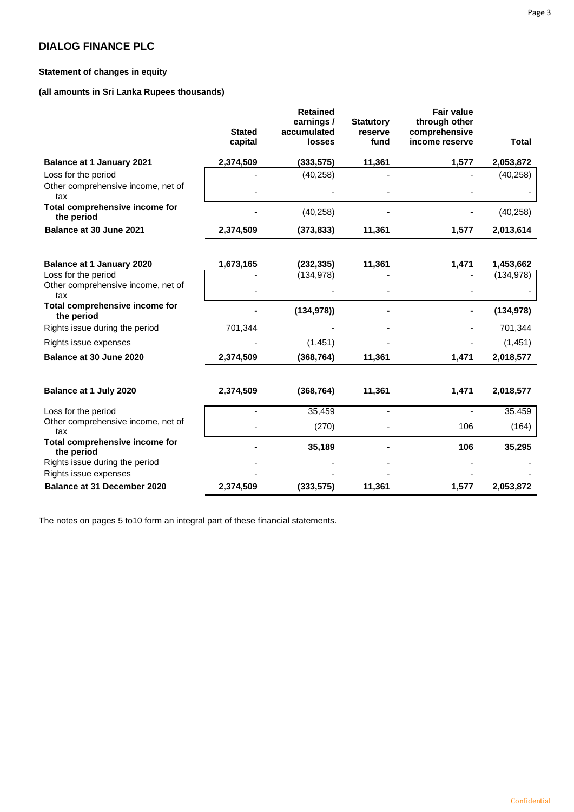# **Statement of changes in equity**

**(all amounts in Sri Lanka Rupees thousands)**

|                                              |               | <b>Retained</b><br>earnings/ | <b>Statutory</b>         | <b>Fair value</b><br>through other |            |
|----------------------------------------------|---------------|------------------------------|--------------------------|------------------------------------|------------|
|                                              | <b>Stated</b> | accumulated                  | reserve                  | comprehensive                      |            |
|                                              | capital       | <b>losses</b>                | fund                     | income reserve                     | Total      |
| <b>Balance at 1 January 2021</b>             | 2,374,509     | (333,575)                    | 11,361                   | 1,577                              | 2,053,872  |
| Loss for the period                          |               | (40, 258)                    |                          |                                    | (40, 258)  |
| Other comprehensive income, net of<br>tax    |               |                              |                          |                                    |            |
| Total comprehensive income for<br>the period |               | (40, 258)                    |                          |                                    | (40, 258)  |
| Balance at 30 June 2021                      | 2,374,509     | (373, 833)                   | 11,361                   | 1,577                              | 2,013,614  |
|                                              |               |                              |                          |                                    |            |
| <b>Balance at 1 January 2020</b>             | 1,673,165     | (232, 335)                   | 11,361                   | 1,471                              | 1,453,662  |
| Loss for the period                          |               | (134, 978)                   |                          |                                    | (134, 978) |
| Other comprehensive income, net of<br>tax    |               |                              |                          |                                    |            |
| Total comprehensive income for<br>the period |               | (134, 978)                   |                          |                                    | (134, 978) |
| Rights issue during the period               | 701,344       |                              |                          |                                    | 701,344    |
| Rights issue expenses                        |               | (1, 451)                     |                          |                                    | (1, 451)   |
| Balance at 30 June 2020                      | 2,374,509     | (368, 764)                   | 11,361                   | 1,471                              | 2,018,577  |
| Balance at 1 July 2020                       | 2,374,509     | (368, 764)                   | 11,361                   | 1,471                              | 2,018,577  |
| Loss for the period                          |               | 35,459                       | $\overline{\phantom{a}}$ |                                    | 35,459     |
| Other comprehensive income, net of<br>tax    |               | (270)                        |                          | 106                                | (164)      |
| Total comprehensive income for<br>the period |               | 35,189                       |                          | 106                                | 35,295     |
| Rights issue during the period               |               |                              |                          |                                    |            |
| Rights issue expenses                        |               |                              |                          |                                    |            |
| <b>Balance at 31 December 2020</b>           | 2,374,509     | (333, 575)                   | 11,361                   | 1,577                              | 2,053,872  |

The notes on pages 5 to10 form an integral part of these financial statements.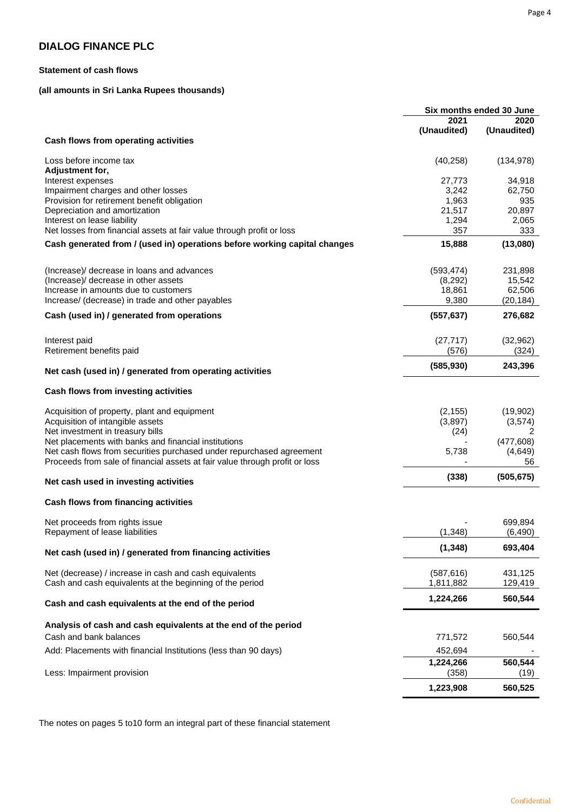## **Statement of cash flows**

### **(all amounts in Sri Lanka Rupees thousands)**

|                                                                             | Six months ended 30 June |             |  |
|-----------------------------------------------------------------------------|--------------------------|-------------|--|
|                                                                             | 2021                     | 2020        |  |
|                                                                             | (Unaudited)              | (Unaudited) |  |
| Cash flows from operating activities                                        |                          |             |  |
|                                                                             |                          |             |  |
| Loss before income tax                                                      | (40, 258)                | (134, 978)  |  |
| Adjustment for,                                                             |                          |             |  |
| Interest expenses                                                           | 27,773                   | 34,918      |  |
| Impairment charges and other losses                                         | 3,242                    | 62,750      |  |
| Provision for retirement benefit obligation                                 | 1,963                    | 935         |  |
| Depreciation and amortization                                               | 21,517                   | 20,897      |  |
| Interest on lease liability                                                 | 1,294                    | 2,065       |  |
| Net losses from financial assets at fair value through profit or loss       | 357                      | 333         |  |
|                                                                             |                          |             |  |
| Cash generated from / (used in) operations before working capital changes   | 15,888                   | (13,080)    |  |
| (Increase) decrease in loans and advances                                   | (593, 474)               | 231,898     |  |
| (Increase)/ decrease in other assets                                        | (8,292)                  | 15,542      |  |
| Increase in amounts due to customers                                        | 18,861                   | 62,506      |  |
| Increase/ (decrease) in trade and other payables                            | 9,380                    | (20, 184)   |  |
|                                                                             |                          |             |  |
| Cash (used in) / generated from operations                                  | (557, 637)               | 276,682     |  |
|                                                                             |                          |             |  |
| Interest paid                                                               | (27, 717)                | (32, 962)   |  |
| Retirement benefits paid                                                    | (576)                    | (324)       |  |
| Net cash (used in) / generated from operating activities                    | (585, 930)               | 243,396     |  |
| Cash flows from investing activities                                        |                          |             |  |
|                                                                             |                          |             |  |
| Acquisition of property, plant and equipment                                | (2, 155)                 | (19,902)    |  |
| Acquisition of intangible assets                                            | (3,897)                  | (3,574)     |  |
| Net investment in treasury bills                                            | (24)                     | 2           |  |
| Net placements with banks and financial institutions                        |                          | (477, 608)  |  |
| Net cash flows from securities purchased under repurchased agreement        | 5,738                    | (4,649)     |  |
| Proceeds from sale of financial assets at fair value through profit or loss |                          | 56          |  |
| Net cash used in investing activities                                       | (338)                    | (505, 675)  |  |
| Cash flows from financing activities                                        |                          |             |  |
|                                                                             |                          |             |  |
| Net proceeds from rights issue                                              |                          | 699,894     |  |
| Repayment of lease liabilities                                              | (1, 348)                 | (6, 490)    |  |
| Net cash (used in) / generated from financing activities                    | (1, 348)                 | 693,404     |  |
|                                                                             |                          |             |  |
| Net (decrease) / increase in cash and cash equivalents                      | (587, 616)               | 431,125     |  |
| Cash and cash equivalents at the beginning of the period                    | 1,811,882                | 129,419     |  |
| Cash and cash equivalents at the end of the period                          | 1,224,266                | 560,544     |  |
|                                                                             |                          |             |  |
| Analysis of cash and cash equivalents at the end of the period              |                          |             |  |
| Cash and bank balances                                                      | 771,572                  | 560,544     |  |
| Add: Placements with financial Institutions (less than 90 days)             | 452,694                  |             |  |
|                                                                             | 1,224,266                | 560,544     |  |
| Less: Impairment provision                                                  | (358)                    | (19)        |  |
|                                                                             |                          |             |  |
|                                                                             | 1,223,908                | 560,525     |  |

The notes on pages 5 to10 form an integral part of these financial statement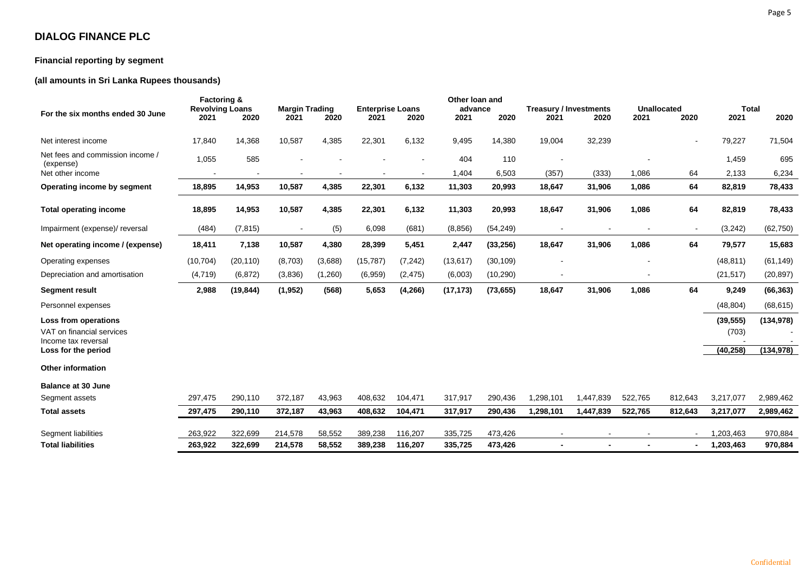### **Financial reporting by segment**

# **(all amounts in Sri Lanka Rupees thousands)**

|                                                                          | <b>Factoring &amp;</b>         |           |                               |         | Other loan and                  |          |                 |           |                                       | <b>Unallocated</b> |         | <b>Total</b>   |                    |            |
|--------------------------------------------------------------------------|--------------------------------|-----------|-------------------------------|---------|---------------------------------|----------|-----------------|-----------|---------------------------------------|--------------------|---------|----------------|--------------------|------------|
| For the six months ended 30 June                                         | <b>Revolving Loans</b><br>2021 | 2020      | <b>Margin Trading</b><br>2021 | 2020    | <b>Enterprise Loans</b><br>2021 | 2020     | advance<br>2021 | 2020      | <b>Treasury / Investments</b><br>2021 | 2020               | 2021    | 2020           | 2021               | 2020       |
|                                                                          |                                |           |                               |         |                                 |          |                 |           |                                       |                    |         |                |                    |            |
| Net interest income                                                      | 17,840                         | 14,368    | 10,587                        | 4,385   | 22,301                          | 6,132    | 9,495           | 14,380    | 19,004                                | 32,239             |         | $\blacksquare$ | 79,227             | 71,504     |
| Net fees and commission income /<br>(expense)                            | 1,055                          | 585       |                               |         |                                 |          | 404             | 110       |                                       |                    |         |                | 1,459              | 695        |
| Net other income                                                         |                                |           |                               |         |                                 |          | 1,404           | 6,503     | (357)                                 | (333)              | 1,086   | 64             | 2,133              | 6,234      |
| Operating income by segment                                              | 18,895                         | 14,953    | 10,587                        | 4,385   | 22,301                          | 6,132    | 11,303          | 20,993    | 18,647                                | 31,906             | 1,086   | 64             | 82,819             | 78,433     |
| <b>Total operating income</b>                                            | 18,895                         | 14,953    | 10,587                        | 4,385   | 22,301                          | 6,132    | 11,303          | 20,993    | 18,647                                | 31,906             | 1,086   | 64             | 82,819             | 78,433     |
| Impairment (expense)/ reversal                                           | (484)                          | (7, 815)  |                               | (5)     | 6,098                           | (681)    | (8,856)         | (54, 249) |                                       |                    |         | $\blacksquare$ | (3, 242)           | (62, 750)  |
| Net operating income / (expense)                                         | 18,411                         | 7,138     | 10,587                        | 4,380   | 28,399                          | 5,451    | 2,447           | (33, 256) | 18,647                                | 31,906             | 1,086   | 64             | 79,577             | 15,683     |
| Operating expenses                                                       | (10, 704)                      | (20, 110) | (8,703)                       | (3,688) | (15, 787)                       | (7, 242) | (13, 617)       | (30, 109) |                                       |                    |         |                | (48, 811)          | (61, 149)  |
| Depreciation and amortisation                                            | (4, 719)                       | (6, 872)  | (3,836)                       | (1,260) | (6,959)                         | (2, 475) | (6,003)         | (10, 290) |                                       |                    |         |                | (21, 517)          | (20, 897)  |
| <b>Segment result</b>                                                    | 2,988                          | (19, 844) | (1, 952)                      | (568)   | 5,653                           | (4, 266) | (17, 173)       | (73, 655) | 18,647                                | 31,906             | 1,086   | 64             | 9,249              | (66, 363)  |
| Personnel expenses                                                       |                                |           |                               |         |                                 |          |                 |           |                                       |                    |         |                | (48, 804)          | (68, 615)  |
| Loss from operations<br>VAT on financial services<br>Income tax reversal |                                |           |                               |         |                                 |          |                 |           |                                       |                    |         |                | (39, 555)<br>(703) | (134, 978) |
| Loss for the period                                                      |                                |           |                               |         |                                 |          |                 |           |                                       |                    |         |                | (40, 258)          | (134, 978) |
| <b>Other information</b>                                                 |                                |           |                               |         |                                 |          |                 |           |                                       |                    |         |                |                    |            |
| <b>Balance at 30 June</b>                                                |                                |           |                               |         |                                 |          |                 |           |                                       |                    |         |                |                    |            |
| Segment assets                                                           | 297,475                        | 290,110   | 372,187                       | 43,963  | 408,632                         | 104,471  | 317,917         | 290,436   | 1,298,101                             | 1,447,839          | 522,765 | 812,643        | 3,217,077          | 2,989,462  |
| <b>Total assets</b>                                                      | 297,475                        | 290,110   | 372,187                       | 43,963  | 408,632                         | 104,471  | 317,917         | 290,436   | 1,298,101                             | 1,447,839          | 522,765 | 812,643        | 3,217,077          | 2,989,462  |
| Segment liabilities                                                      | 263,922                        | 322,699   | 214,578                       | 58,552  | 389,238                         | 116,207  | 335,725         | 473,426   |                                       |                    |         | $\blacksquare$ | .203,463           | 970,884    |
| <b>Total liabilities</b>                                                 | 263,922                        | 322,699   | 214,578                       | 58,552  | 389,238                         | 116,207  | 335,725         | 473,426   |                                       |                    |         |                | 1,203,463          | 970,884    |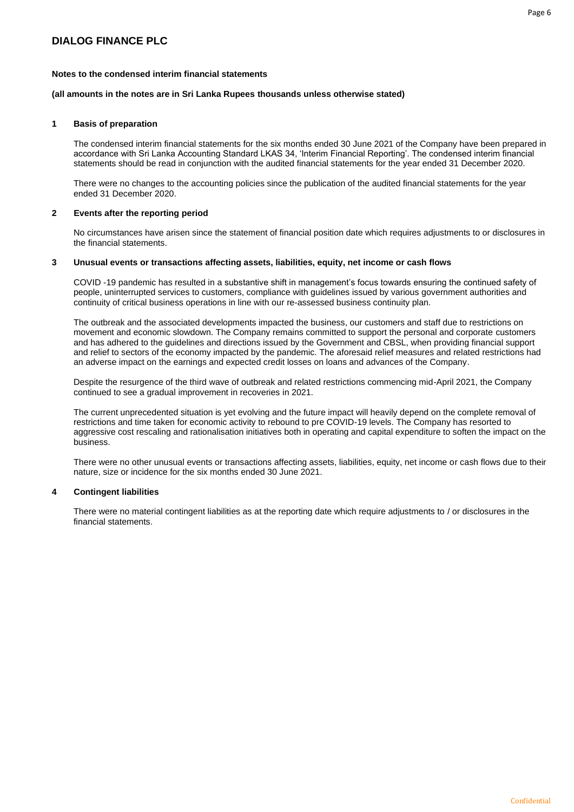#### **Notes to the condensed interim financial statements**

#### **(all amounts in the notes are in Sri Lanka Rupees thousands unless otherwise stated)**

#### **1 Basis of preparation**

The condensed interim financial statements for the six months ended 30 June 2021 of the Company have been prepared in accordance with Sri Lanka Accounting Standard LKAS 34, 'Interim Financial Reporting'. The condensed interim financial statements should be read in conjunction with the audited financial statements for the year ended 31 December 2020.

There were no changes to the accounting policies since the publication of the audited financial statements for the year ended 31 December 2020.

#### **2 Events after the reporting period**

No circumstances have arisen since the statement of financial position date which requires adjustments to or disclosures in the financial statements.

#### **3 Unusual events or transactions affecting assets, liabilities, equity, net income or cash flows**

COVID -19 pandemic has resulted in a substantive shift in management's focus towards ensuring the continued safety of people, uninterrupted services to customers, compliance with guidelines issued by various government authorities and continuity of critical business operations in line with our re-assessed business continuity plan.

The outbreak and the associated developments impacted the business, our customers and staff due to restrictions on movement and economic slowdown. The Company remains committed to support the personal and corporate customers and has adhered to the guidelines and directions issued by the Government and CBSL, when providing financial support and relief to sectors of the economy impacted by the pandemic. The aforesaid relief measures and related restrictions had an adverse impact on the earnings and expected credit losses on loans and advances of the Company.

Despite the resurgence of the third wave of outbreak and related restrictions commencing mid-April 2021, the Company continued to see a gradual improvement in recoveries in 2021.

The current unprecedented situation is yet evolving and the future impact will heavily depend on the complete removal of restrictions and time taken for economic activity to rebound to pre COVID-19 levels. The Company has resorted to aggressive cost rescaling and rationalisation initiatives both in operating and capital expenditure to soften the impact on the business.

There were no other unusual events or transactions affecting assets, liabilities, equity, net income or cash flows due to their nature, size or incidence for the six months ended 30 June 2021.

#### **4 Contingent liabilities**

There were no material contingent liabilities as at the reporting date which require adjustments to / or disclosures in the financial statements.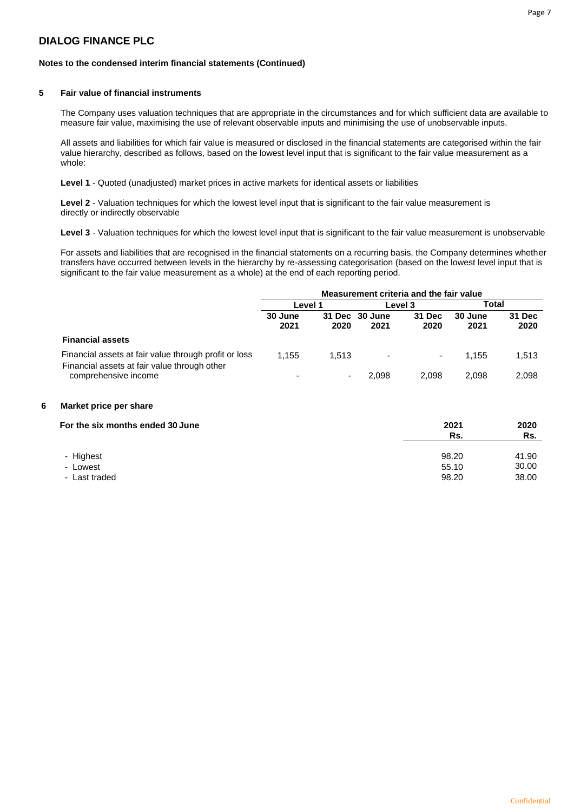#### **Notes to the condensed interim financial statements (Continued)**

#### **5 Fair value of financial instruments**

The Company uses valuation techniques that are appropriate in the circumstances and for which sufficient data are available to measure fair value, maximising the use of relevant observable inputs and minimising the use of unobservable inputs.

All assets and liabilities for which fair value is measured or disclosed in the financial statements are categorised within the fair value hierarchy, described as follows, based on the lowest level input that is significant to the fair value measurement as a whole:

**Level 1** - Quoted (unadjusted) market prices in active markets for identical assets or liabilities

**Level 2** - Valuation techniques for which the lowest level input that is significant to the fair value measurement is directly or indirectly observable

**Level 3** - Valuation techniques for which the lowest level input that is significant to the fair value measurement is unobservable

For assets and liabilities that are recognised in the financial statements on a recurring basis, the Company determines whether transfers have occurred between levels in the hierarchy by re-assessing categorisation (based on the lowest level input that is significant to the fair value measurement as a whole) at the end of each reporting period.

|                                                                                                       | Measurement criteria and the fair value |       |                          |                |                 |                |  |
|-------------------------------------------------------------------------------------------------------|-----------------------------------------|-------|--------------------------|----------------|-----------------|----------------|--|
|                                                                                                       | Level 1                                 |       |                          | Level 3        | Total           |                |  |
|                                                                                                       | 30 June<br>2021                         | 2020  | 31 Dec 30 June<br>2021   | 31 Dec<br>2020 | 30 June<br>2021 | 31 Dec<br>2020 |  |
| <b>Financial assets</b>                                                                               |                                         |       |                          |                |                 |                |  |
| Financial assets at fair value through profit or loss<br>Financial assets at fair value through other | 1.155                                   | 1.513 | $\overline{\phantom{a}}$ | ۰.             | 1.155           | 1,513          |  |
| comprehensive income                                                                                  |                                         | ۰.    | 2.098                    | 2.098          | 2.098           | 2,098          |  |

#### **6 Market price per share**

| For the six months ended 30 June | 2021<br>Rs. | 2020<br>Rs. |
|----------------------------------|-------------|-------------|
| - Highest                        | 98.20       | 41.90       |
| - Lowest                         | 55.10       | 30.00       |
| - Last traded                    | 98.20       | 38.00       |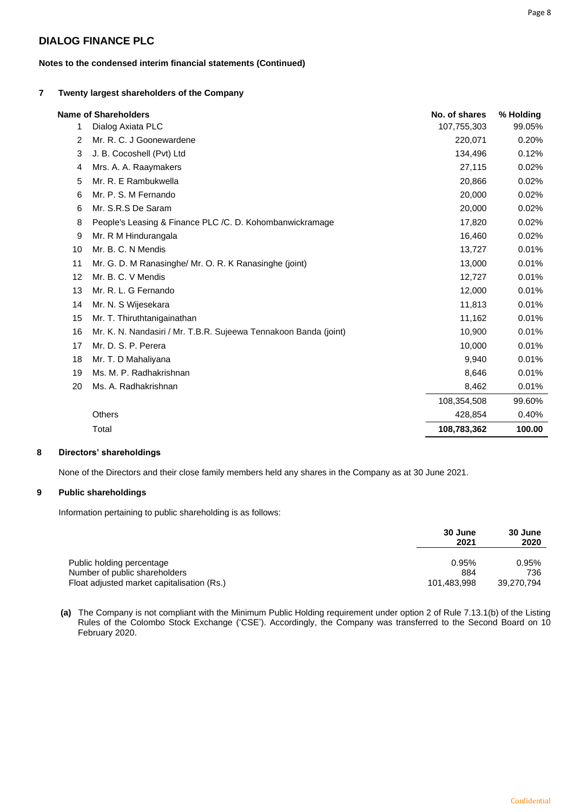#### **7 Twenty largest shareholders of the Company**

|    | <b>Name of Shareholders</b>                                      | No. of shares | % Holding |
|----|------------------------------------------------------------------|---------------|-----------|
| 1  | Dialog Axiata PLC                                                | 107,755,303   | 99.05%    |
| 2  | Mr. R. C. J Goonewardene                                         | 220,071       | 0.20%     |
| 3  | J. B. Cocoshell (Pvt) Ltd                                        | 134,496       | 0.12%     |
| 4  | Mrs. A. A. Raaymakers                                            | 27,115        | 0.02%     |
| 5  | Mr. R. E Rambukwella                                             | 20,866        | 0.02%     |
| 6  | Mr. P. S. M Fernando                                             | 20,000        | 0.02%     |
| 6  | Mr. S.R.S De Saram                                               | 20,000        | 0.02%     |
| 8  | People's Leasing & Finance PLC /C. D. Kohombanwickramage         | 17,820        | 0.02%     |
| 9  | Mr. R M Hindurangala                                             | 16,460        | 0.02%     |
| 10 | Mr. B. C. N Mendis                                               | 13,727        | 0.01%     |
| 11 | Mr. G. D. M Ranasinghe/ Mr. O. R. K Ranasinghe (joint)           | 13,000        | 0.01%     |
| 12 | Mr. B. C. V Mendis                                               | 12,727        | 0.01%     |
| 13 | Mr. R. L. G Fernando                                             | 12,000        | 0.01%     |
| 14 | Mr. N. S Wijesekara                                              | 11,813        | 0.01%     |
| 15 | Mr. T. Thiruthtanigainathan                                      | 11,162        | 0.01%     |
| 16 | Mr. K. N. Nandasiri / Mr. T.B.R. Sujeewa Tennakoon Banda (joint) | 10,900        | 0.01%     |
| 17 | Mr. D. S. P. Perera                                              | 10,000        | 0.01%     |
| 18 | Mr. T. D Mahaliyana                                              | 9,940         | 0.01%     |
| 19 | Ms. M. P. Radhakrishnan                                          | 8,646         | 0.01%     |
| 20 | Ms. A. Radhakrishnan                                             | 8,462         | 0.01%     |
|    |                                                                  | 108,354,508   | 99.60%    |
|    | <b>Others</b>                                                    | 428,854       | 0.40%     |
|    | Total                                                            | 108,783,362   | 100.00    |

#### **8 Directors' shareholdings**

None of the Directors and their close family members held any shares in the Company as at 30 June 2021.

#### **9 Public shareholdings**

Information pertaining to public shareholding is as follows:

|                                                            | 30 June<br>2021 | 30 June<br>2020 |
|------------------------------------------------------------|-----------------|-----------------|
| Public holding percentage<br>Number of public shareholders | 0.95%<br>884    | 0.95%<br>736    |
| Float adjusted market capitalisation (Rs.)                 | 101.483.998     | 39.270.794      |

**(a)** The Company is not compliant with the Minimum Public Holding requirement under option 2 of Rule 7.13.1(b) of the Listing Rules of the Colombo Stock Exchange ('CSE'). Accordingly, the Company was transferred to the Second Board on 10 February 2020.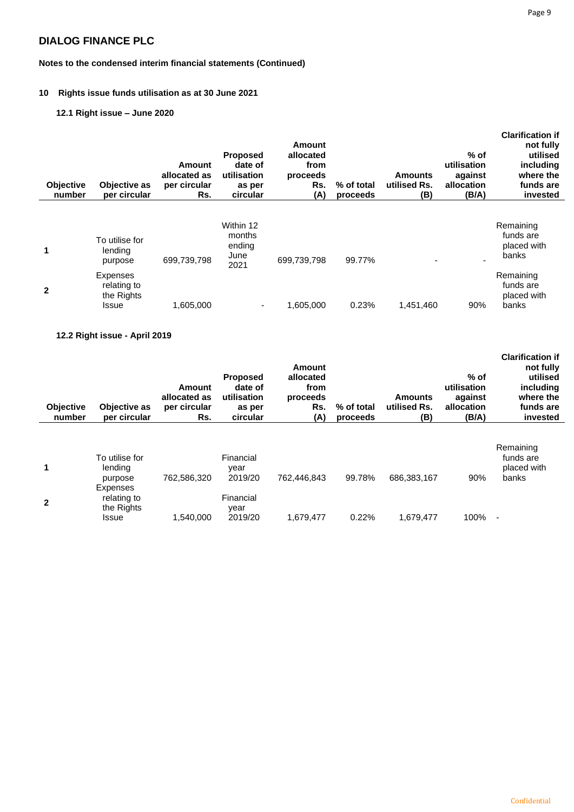# **Notes to the condensed interim financial statements (Continued)**

### **10 Rights issue funds utilisation as at 30 June 2021**

# **12.1 Right issue – June 2020**

| <b>Objective</b><br>number | Objective as<br>per circular                          | Amount<br>allocated as<br>per circular<br>Rs. | <b>Proposed</b><br>date of<br>utilisation<br>as per<br>circular | Amount<br>allocated<br>from<br>proceeds<br>Rs.<br>(A) | % of total<br>proceeds | <b>Amounts</b><br>utilised Rs.<br>(B) | $%$ of<br>utilisation<br>against<br>allocation<br>(B/A) | <b>Clarification if</b><br>not fully<br>utilised<br>including<br>where the<br>funds are<br>invested |
|----------------------------|-------------------------------------------------------|-----------------------------------------------|-----------------------------------------------------------------|-------------------------------------------------------|------------------------|---------------------------------------|---------------------------------------------------------|-----------------------------------------------------------------------------------------------------|
| 1                          | To utilise for<br>lending<br>purpose                  | 699,739,798                                   | Within 12<br>months<br>ending<br>June<br>2021                   | 699,739,798                                           | 99.77%                 | $\overline{\phantom{0}}$              | ۰                                                       | Remaining<br>funds are<br>placed with<br>banks                                                      |
| $\mathbf{2}$               | <b>Expenses</b><br>relating to<br>the Rights<br>Issue | 1,605,000                                     | $\overline{\phantom{a}}$                                        | 1,605,000                                             | 0.23%                  | 1,451,460                             | 90%                                                     | Remaining<br>funds are<br>placed with<br>banks                                                      |

### **12.2 Right issue - April 2019**

| <b>Objective</b><br>number | Objective as<br>per circular                          | Amount<br>allocated as<br>per circular<br>Rs. | <b>Proposed</b><br>date of<br>utilisation<br>as per<br>circular | Amount<br>allocated<br>from<br>proceeds<br>Rs.<br>(A) | % of total<br>proceeds | <b>Amounts</b><br>utilised Rs.<br>(B) | $%$ of<br>utilisation<br>against<br>allocation<br>(B/A) | <b>Clarification if</b><br>not fully<br>utilised<br>including<br>where the<br>funds are<br>invested |
|----------------------------|-------------------------------------------------------|-----------------------------------------------|-----------------------------------------------------------------|-------------------------------------------------------|------------------------|---------------------------------------|---------------------------------------------------------|-----------------------------------------------------------------------------------------------------|
| 1                          | To utilise for<br>lending<br>purpose                  | 762,586,320                                   | Financial<br>vear<br>2019/20                                    | 762.446.843                                           | 99.78%                 | 686,383,167                           | 90%                                                     | Remaining<br>funds are<br>placed with<br>banks                                                      |
| $\mathbf{2}$               | Expenses<br>relating to<br>the Rights<br><b>Issue</b> | 1.540.000                                     | Financial<br>year<br>2019/20                                    | 1,679,477                                             | 0.22%                  | 1.679.477                             | 100%                                                    | $\overline{\phantom{a}}$                                                                            |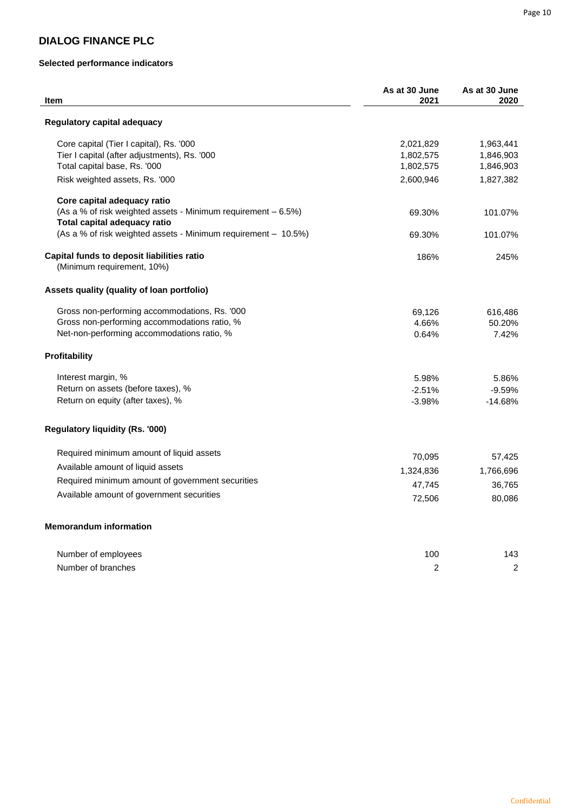### **Selected performance indicators**

| Item                                                           | As at 30 June<br>2021 | As at 30 June<br>2020 |
|----------------------------------------------------------------|-----------------------|-----------------------|
| Regulatory capital adequacy                                    |                       |                       |
| Core capital (Tier I capital), Rs. '000                        | 2,021,829             | 1,963,441             |
| Tier I capital (after adjustments), Rs. '000                   | 1,802,575             | 1,846,903             |
| Total capital base, Rs. '000                                   | 1,802,575             | 1,846,903             |
| Risk weighted assets, Rs. '000                                 | 2,600,946             | 1,827,382             |
| Core capital adequacy ratio                                    |                       |                       |
| (As a % of risk weighted assets - Minimum requirement - 6.5%)  | 69.30%                | 101.07%               |
| Total capital adequacy ratio                                   |                       |                       |
| (As a % of risk weighted assets - Minimum requirement - 10.5%) | 69.30%                | 101.07%               |
| Capital funds to deposit liabilities ratio                     | 186%                  | 245%                  |
| (Minimum requirement, 10%)                                     |                       |                       |
| Assets quality (quality of loan portfolio)                     |                       |                       |
| Gross non-performing accommodations, Rs. '000                  | 69,126                | 616,486               |
| Gross non-performing accommodations ratio, %                   | 4.66%                 | 50.20%                |
| Net-non-performing accommodations ratio, %                     | 0.64%                 | 7.42%                 |
| <b>Profitability</b>                                           |                       |                       |
| Interest margin, %                                             | 5.98%                 | 5.86%                 |
| Return on assets (before taxes), %                             | $-2.51%$              | $-9.59%$              |
| Return on equity (after taxes), %                              | $-3.98%$              | $-14.68%$             |
| <b>Regulatory liquidity (Rs. '000)</b>                         |                       |                       |
| Required minimum amount of liquid assets                       | 70,095                | 57,425                |
| Available amount of liquid assets                              |                       |                       |
| Required minimum amount of government securities               | 1,324,836             | 1,766,696             |
| Available amount of government securities                      | 47,745                | 36,765                |
|                                                                | 72,506                | 80,086                |
| <b>Memorandum information</b>                                  |                       |                       |
| Number of employees                                            | 100                   | 143                   |
| Number of branches                                             | $\overline{2}$        | $\overline{c}$        |